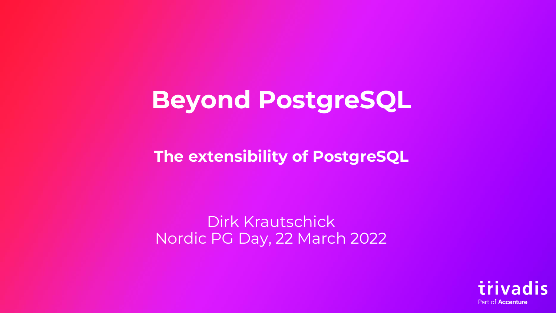## **Beyond PostgreSQL**

**The extensibility of PostgreSQL**

Dirk Krautschick Nordic PG Day, 22 March 2022

> ivadis Part of **Accenture**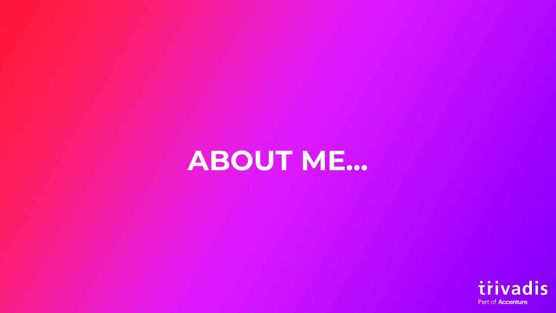## **ABOUT ME…**

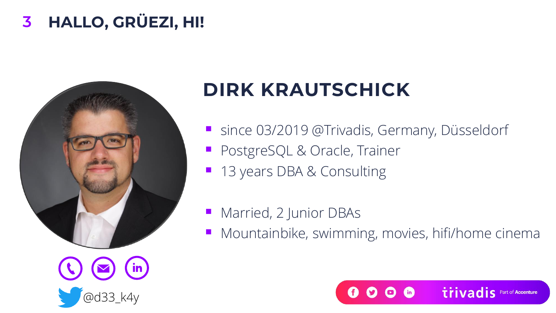#### **HALLO, GRÜEZI, HI! 3**



### **DIRK KRAUTSCHICK**

- since 03/2019 @Trivadis, Germany, Düsseldorf
- **PostgreSQL & Oracle, Trainer**
- 13 years DBA & Consulting
- Married, 2 Junior DBAs
- Mountainbike, swimming, movies, hifi/home cinema

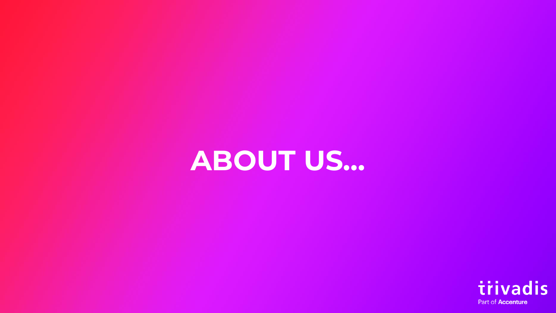## **ABOUT US…**

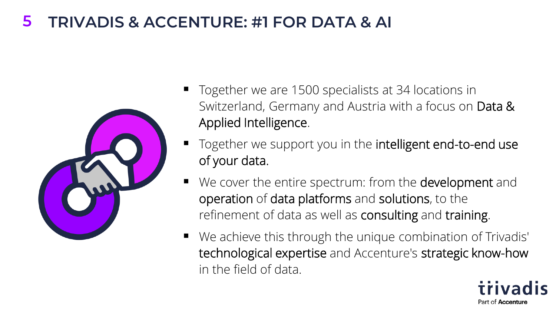#### **5 TRIVADIS & ACCENTURE: #1 FOR DATA & AI**



- Together we are 1500 specialists at 34 locations in Switzerland, Germany and Austria with a focus on Data & Applied Intelligence.
- Together we support you in the intelligent end-to-end use of your data.
- We cover the entire spectrum: from the **development** and operation of data platforms and solutions, to the refinement of data as well as consulting and training.
- We achieve this through the unique combination of Trivadis' technological expertise and Accenture's strategic know-how in the field of data.

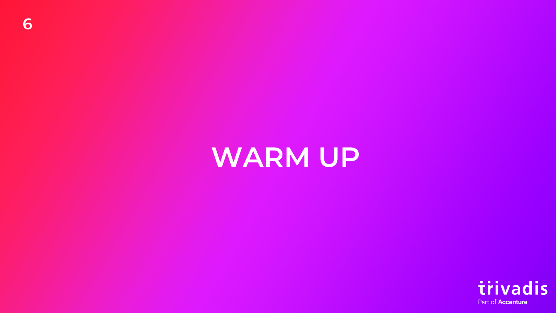## **WARM UP**

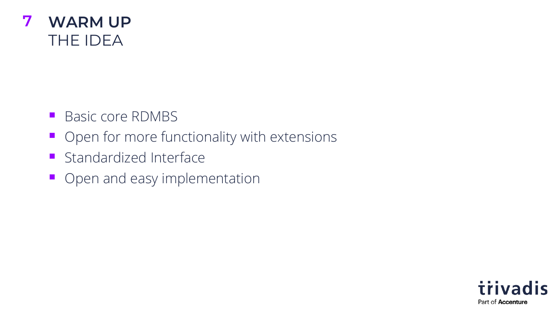

- Basic core RDMBS
- Open for more functionality with extensions
- Standardized Interface
- Open and easy implementation

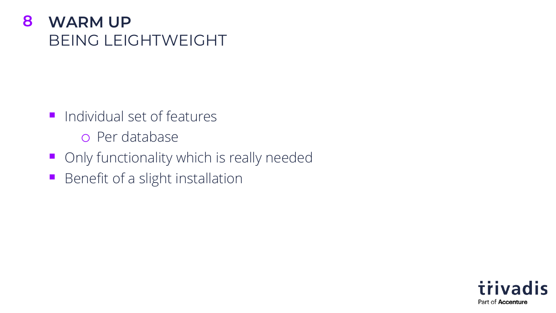#### **8 WARM UP** BEING LEIGHTWEIGHT

- Individual set of features
	- o Per database
- Only functionality which is really needed
- Benefit of a slight installation

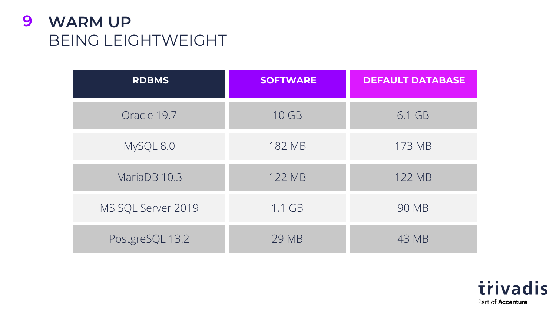#### **9 WARM UP** BEING LEIGHTWEIGHT

| <b>RDBMS</b>       | <b>SOFTWARE</b> | <b>DEFAULT DATABASE</b> |
|--------------------|-----------------|-------------------------|
| Oracle 19.7        | 10 GB           | 6.1 GB                  |
| MySQL 8.0          | 182 MB          | 173 MB                  |
| MariaDB 10.3       | 122 MB          | 122 MB                  |
| MS SQL Server 2019 | $1,1$ GB        | 90 MB                   |
| PostgreSQL 13.2    | 29 MB           | 43 MB                   |

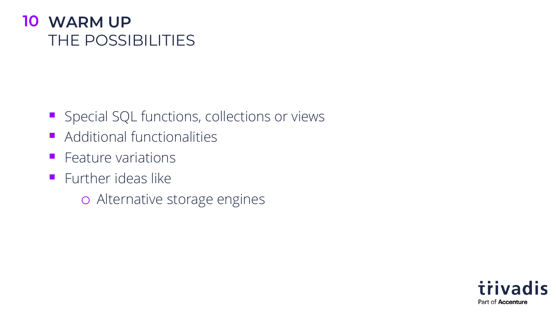#### **10 WARM UP** THE POSSIBILITIES

- Special SQL functions, collections or views
- Additional functionalities
- Feature variations
- **ELITTHER IDEAS like** 
	- o Alternative storage engines

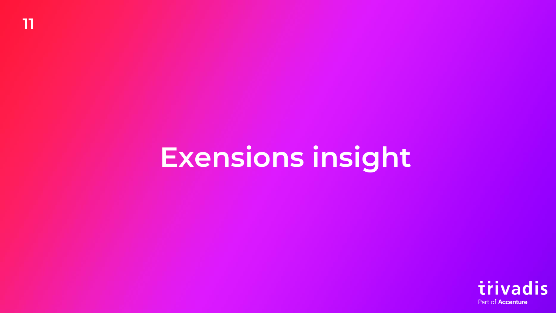## **Exensions insight**

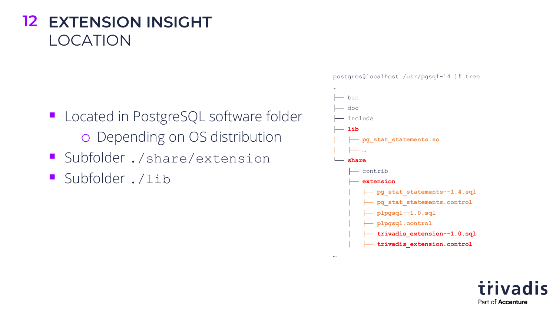#### **12 EXTENSION INSIGHT** LOCATION

- Located in PostgreSQL software folder o Depending on OS distribution
- Subfolder ./share/extension
- Subfolder ./lib

postgres@localhost /usr/pgsql-14 ]# tree



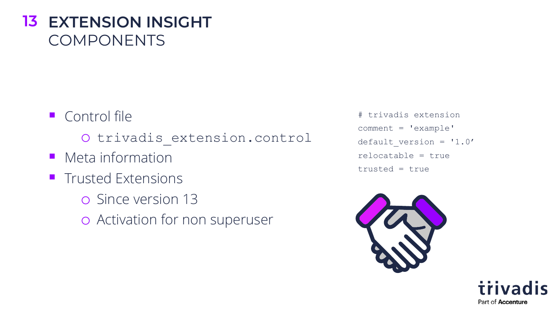#### **13 EXTENSION INSIGHT** COMPONENTS

- Control file
	- o trivadis\_extension.control
- Meta information
- Trusted Extensions
	- o Since version 13
	- o Activation for non superuser

# trivadis extension comment = 'example' default version = '1.0' relocatable = true trusted = true



trivadis Part of **Accenture**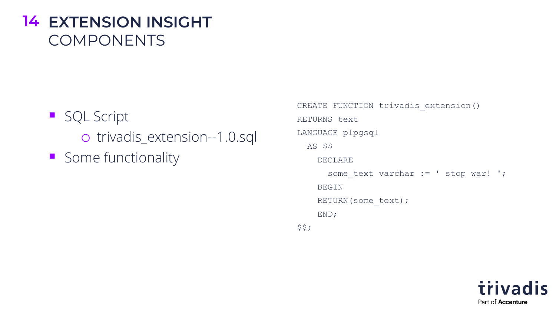#### **14 EXTENSION INSIGHT** COMPONENTS

- SQL Script o trivadis\_extension--1.0.sql
- Some functionality

```
CREATE FUNCTION trivadis extension()
RETURNS text
LANGUAGE plpgsql
 AS $$
    DECLARE
      some text varchar := ' stop war! ';
    BEGIN
    RETURN(some_text);
    END;
$5;
```
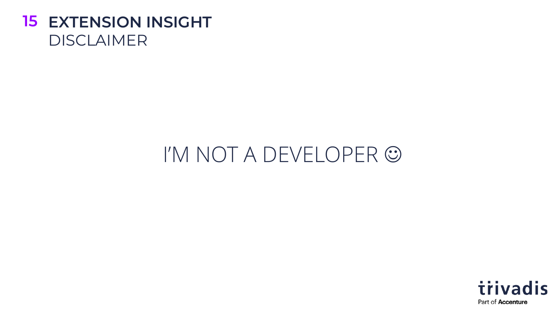

## I'M NOT A DEVELOPER ☺

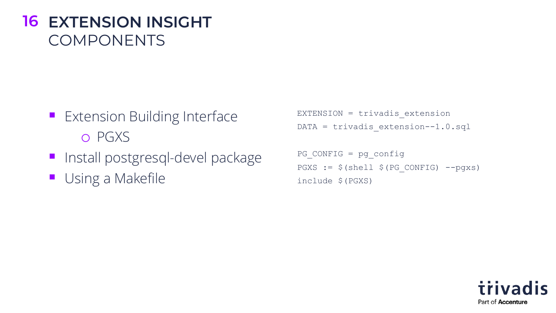#### **16 EXTENSION INSIGHT** COMPONENTS

- **Extension Building Interface** o PGXS
- **·** Install postgresql-devel package
- Using a Makefile

EXTENSION = trivadis\_extension DATA = trivadis extension--1.0.sql

```
PG CONFIG = pg config
PGXS := $(shell $ (PG ~CONFIG) --pgxs)include $(PGXS)
```
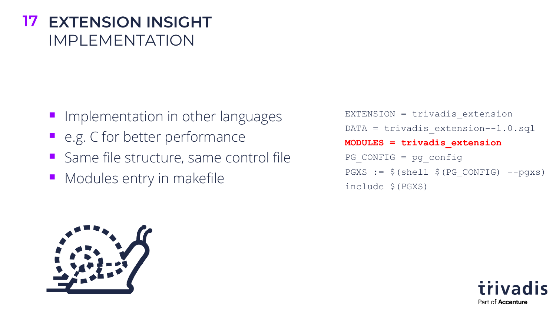#### **17 EXTENSION INSIGHT** IMPI FMFNTATION

- **Inplementation in other languages**
- e.g. C for better performance
- Same file structure, same control file
- Modules entry in makefile

EXTENSION = trivadis\_extension DATA = trivadis extension--1.0.sql **MODULES = trivadis\_extension**  $PG$  CONFIG = pg config  $PGXS := $(shell $ (PG ~CONFIG) --pgxs)$ include \$(PGXS)



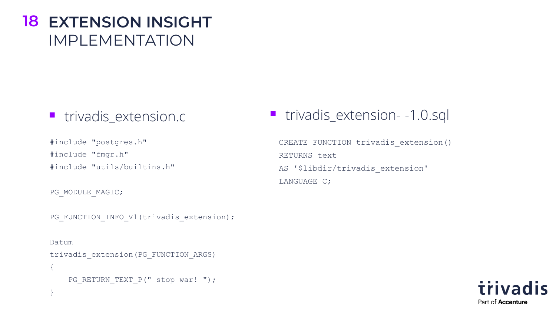#### **18 EXTENSION INSIGHT** IMPLEMENTATION

#include "postgres.h" #include "fmgr.h" #include "utils/builtins.h"

PG MODULE MAGIC;

}

PG\_FUNCTION\_INFO\_V1(trivadis\_extension);

Datum trivadis\_extension(PG\_FUNCTION\_ARGS) { PG\_RETURN\_TEXT\_P(" stop war! ");

■ trivadis\_extension.c ■ trivadis\_extension- -1.0.sql

CREATE FUNCTION trivadis extension() RETURNS text AS '\$libdir/trivadis extension' LANGUAGE C;

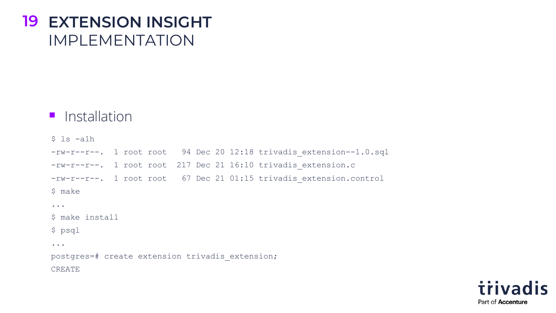#### **19 EXTENSION INSIGHT** IMPLEMENTATION

#### ■ Installation

\$ ls -alh -rw-r--r--. 1 root root 94 Dec 20 12:18 trivadis\_extension--1.0.sql -rw-r--r--. 1 root root 217 Dec 21 16:10 trivadis extension.c -rw-r--r--. 1 root root 67 Dec 21 01:15 trivadis\_extension.control \$ make ... \$ make install \$ psql ... postgres=# create extension trivadis\_extension; CREATE

> trivadis Part of **Accenture**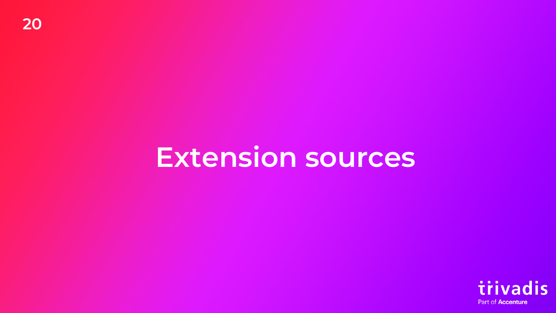## **Extension sources**

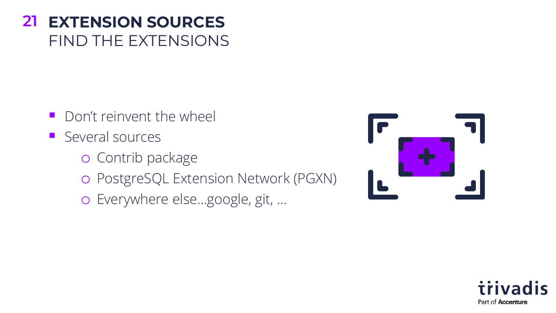#### **EXTENSION SOURCES 21** FIND THE EXTENSIONS

- Don't reinvent the wheel
- Several sources
	- o Contrib package
	- o PostgreSQL Extension Network (PGXN)
	- o Everywhere else…google, git, …



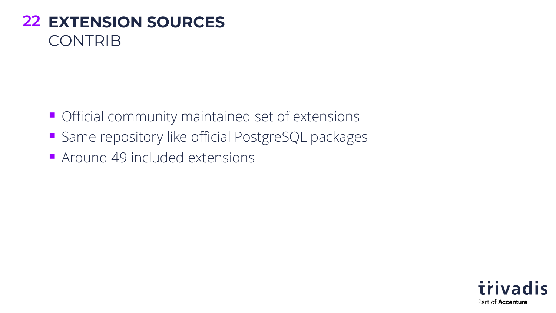#### **EXTENSION SOURCES 22** CONTRIB

- **Official community maintained set of extensions**
- Same repository like official PostgreSQL packages
- Around 49 included extensions

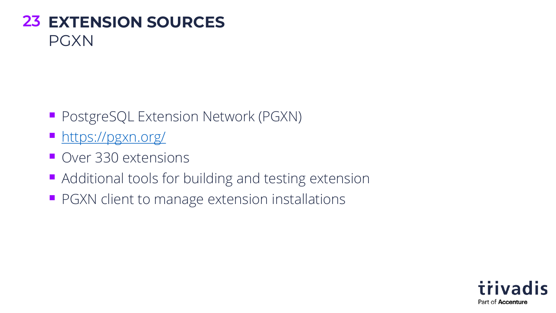#### **EXTENSION SOURCES 23** PGXN

- PostgreSQL Extension Network (PGXN)
- <https://pgxn.org/>
- Over 330 extensions
- Additional tools for building and testing extension
- **PGXN client to manage extension installations**

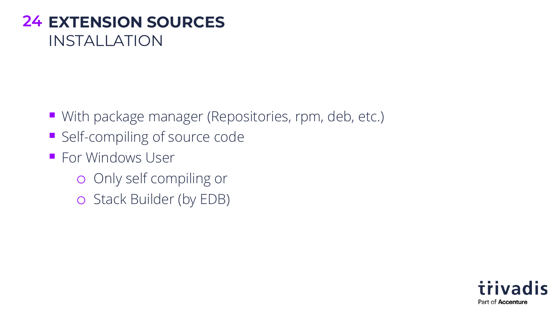#### **EXTENSION SOURCES 24** INSTALLATION

- With package manager (Repositories, rpm, deb, etc.)
- Self-compiling of source code
- For Windows User
	- o Only self compiling or
	- o Stack Builder (by EDB)

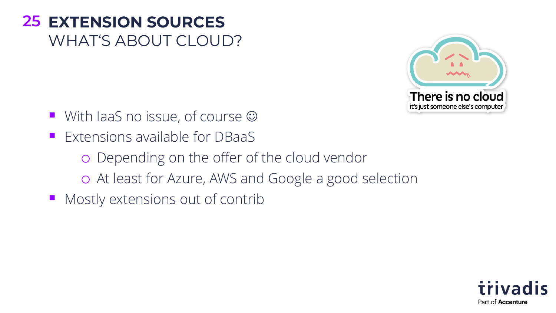#### **EXTENSION SOURCES 25** WHAT'S ABOUT CLOUD?



- **■** With IaaS no issue, of course  $\odot$
- **Extensions available for DBaaS** 
	- o Depending on the offer of the cloud vendor
	- o At least for Azure, AWS and Google a good selection
- Mostly extensions out of contrib

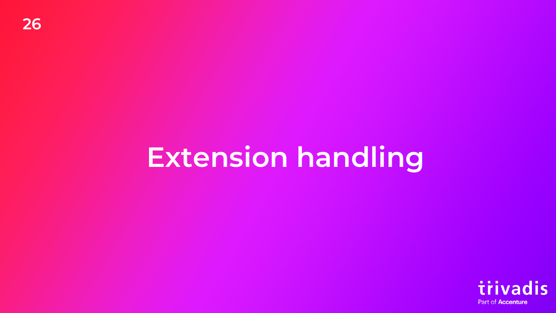## **Extension handling**

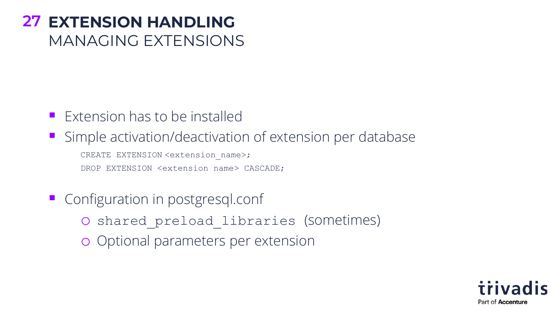#### **EXTENSION HANDLING 27** MANAGING EXTENSIONS

- $\blacksquare$  Extension has to be installed
- **E** Simple activation/deactivation of extension per database CREATE EXTENSION <extension name>; DROP EXTENSION <extension name> CASCADE;
- Configuration in postgresql.conf
	- o shared\_preload\_libraries (sometimes)
	- o Optional parameters per extension

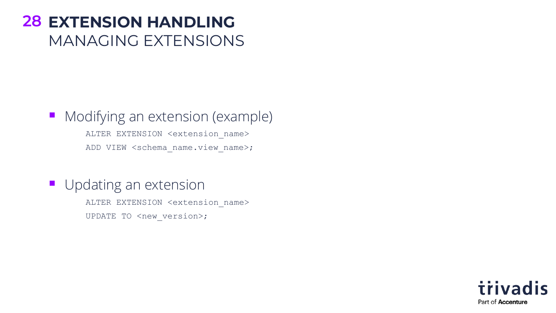#### **EXTENSION HANDLING 28** MANAGING EXTENSIONS

#### ■ Modifying an extension (example) ALTER EXTENSION <extension name> ADD VIEW <schema name.view name>;

#### **Updating an extension**

ALTER EXTENSION <extension name> UPDATE TO <new version>;

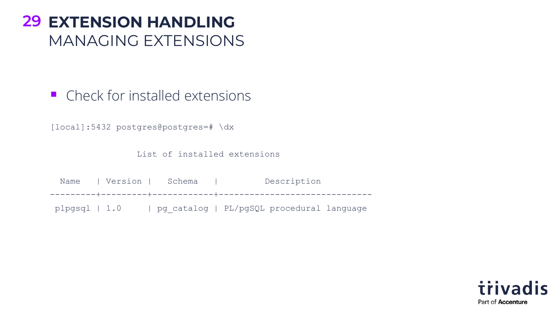#### **EXTENSION HANDLING 29** MANAGING EXTENSIONS

■ Check for installed extensions

[local]:5432 postgres@postgres=# \dx

List of installed extensions

Name | Version | Schema | Description ---------+---------+------------+----------------------------- plpgsql | 1.0 | pg\_catalog | PL/pgSQL procedural language

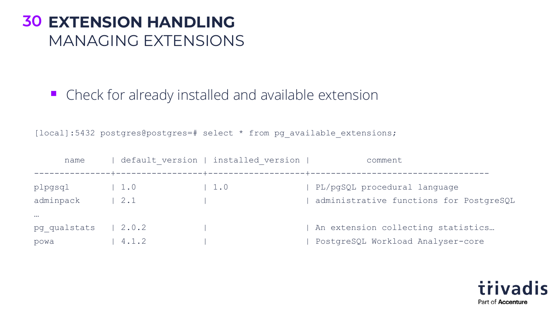#### **EXTENSION HANDLING 30** MANAGING EXTENSIONS

■ Check for already installed and available extension

[local]:5432 postgres@postgres=# select \* from pg\_available\_extensions;

| name                             |                              | default version   installed version | comment                                                                 |
|----------------------------------|------------------------------|-------------------------------------|-------------------------------------------------------------------------|
| plpgsql<br>adminpack             | 1.0<br>2.1                   | 1.0                                 | PL/pgSQL procedural language<br>administrative functions for PostgreSQL |
| $\cdots$<br>pg qualstats<br>powa | $\vert 2.0.2 \vert$<br>4.1.2 |                                     | An extension collecting statistics<br>PostgreSQL Workload Analyser-core |

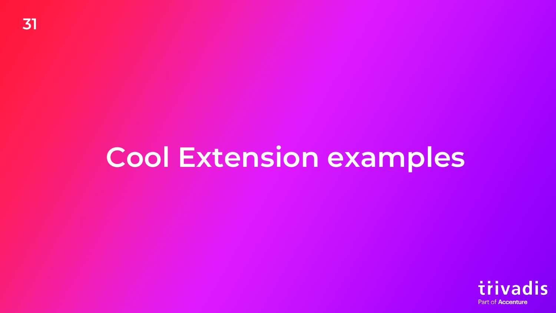## **Cool Extension examples**

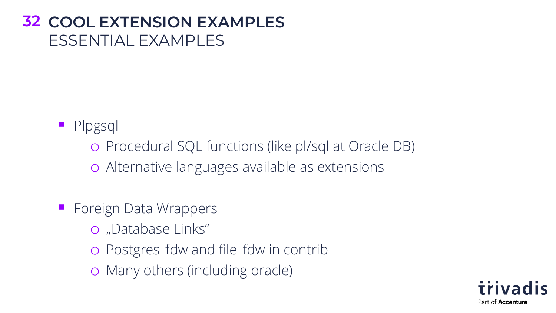#### **32 COOL EXTENSION EXAMPLES** ESSENTIAL EXAMPLES

#### ■ Plpgsql

o Procedural SQL functions (like pl/sql at Oracle DB)

o Alternative languages available as extensions

- Foreign Data Wrappers
	- o "Database Links"
	- o Postgres\_fdw and file\_fdw in contrib
	- o Many others (including oracle)

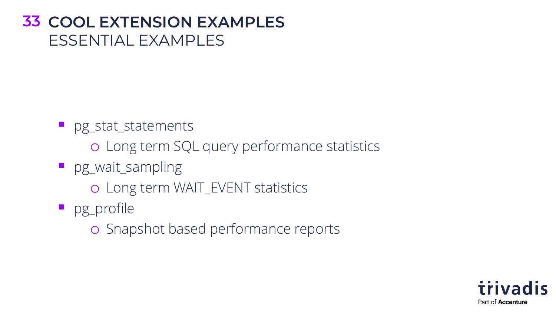#### **33 COOL EXTENSION EXAMPLES** ESSENTIAL EXAMPLES

■ pg\_stat\_statements

o Long term SQL query performance statistics

**P** pg\_wait\_sampling

o Long term WAIT\_EVENT statistics

■ pg\_profile

o Snapshot based performance reports

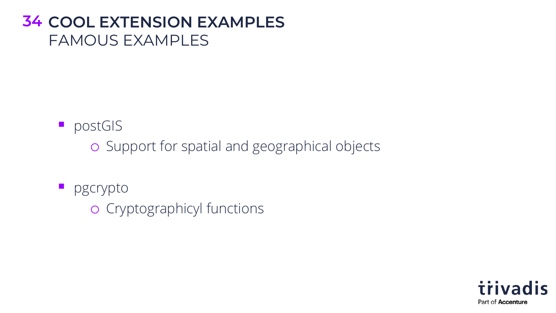#### **34 COOL EXTENSION EXAMPLES** FAMOUS EXAMPLES

■ postGIS

o Support for spatial and geographical objects

**P** pgcrypto

o Cryptographicyl functions

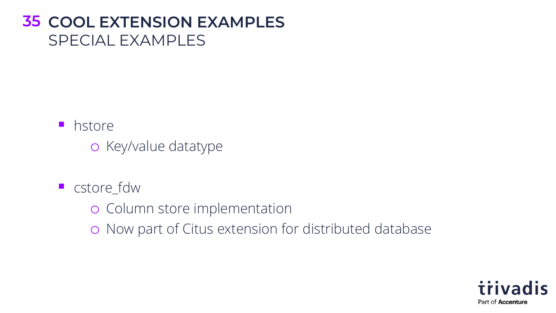#### **35 COOL EXTENSION EXAMPLES** SPECIAL EXAMPLES

■ hstore

o Key/value datatype

- cstore\_fdw
	- o Column store implementation
	- o Now part of Citus extension for distributed database

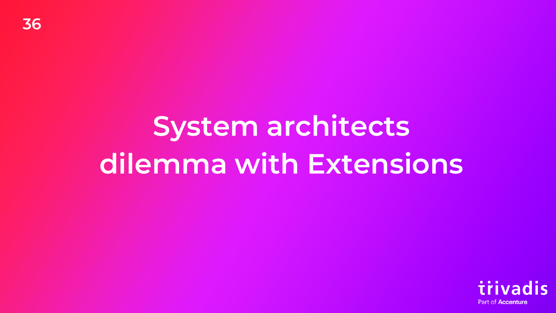## **System architects dilemma with Extensions**

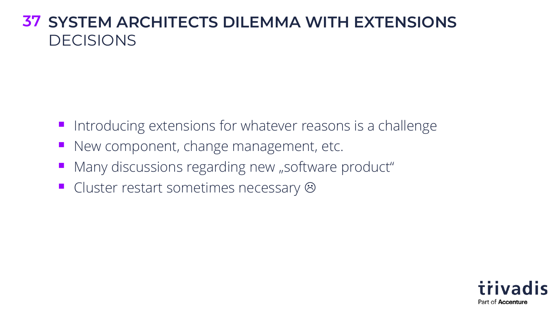#### **37 SYSTEM ARCHITECTS DILEMMA WITH EXTENSIONS** DECISIONS

- Introducing extensions for whatever reasons is a challenge
- New component, change management, etc.
- Many discussions regarding new "software product"
- Cluster restart sometimes necessary &

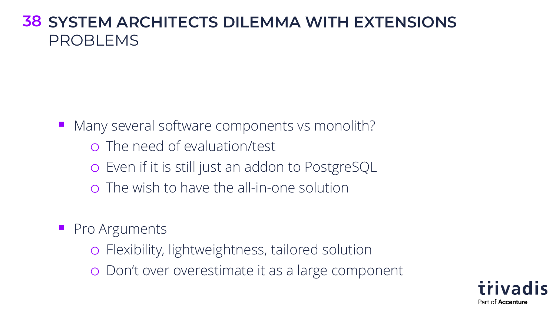#### **38 SYSTEM ARCHITECTS DILEMMA WITH EXTENSIONS** PROBLEMS

Many several software components vs monolith?

- o The need of evaluation/test
- o Even if it is still just an addon to PostgreSQL
- o The wish to have the all-in-one solution
- Pro Arguments
	- o Flexibility, lightweightness, tailored solution
	- o Don't over overestimate it as a large component

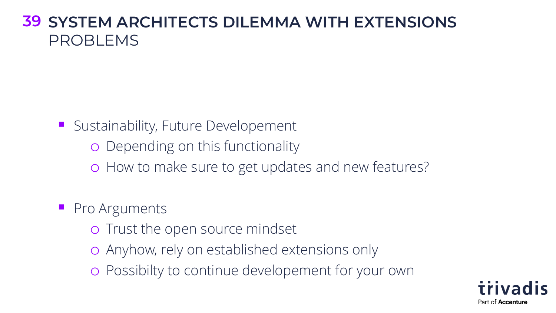#### **39 SYSTEM ARCHITECTS DILEMMA WITH EXTENSIONS** PROBLEMS

**E** Sustainability, Future Developement

o Depending on this functionality

o How to make sure to get updates and new features?

■ Pro Arguments

- o Trust the open source mindset
- o Anyhow, rely on established extensions only
- o Possibilty to continue developement for your own

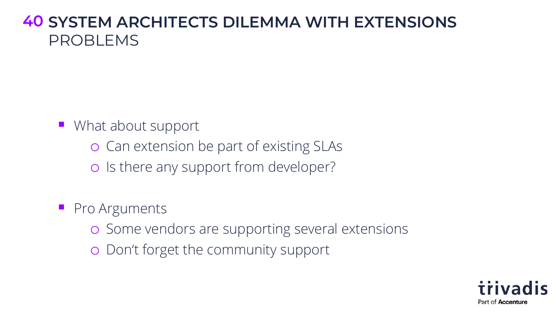#### **40 SYSTEM ARCHITECTS DILEMMA WITH EXTENSIONS** PROBLEMS

■ What about support

- o Can extension be part of existing SLAs
- o Is there any support from developer?
- Pro Arguments
	- o Some vendors are supporting several extensions
	- o Don't forget the community support

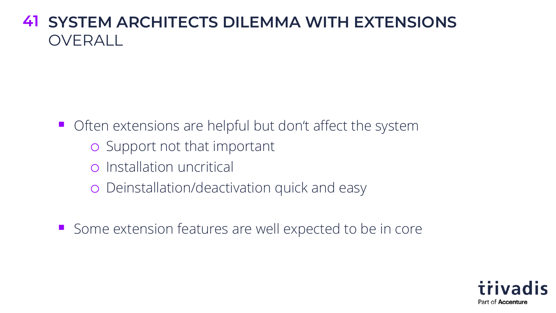#### **41 SYSTEM ARCHITECTS DILEMMA WITH EXTENSIONS** OVERALL<sub>1</sub>

■ Often extensions are helpful but don't affect the system

- o Support not that important
- o Installation uncritical
- o Deinstallation/deactivation quick and easy

■ Some extension features are well expected to be in core

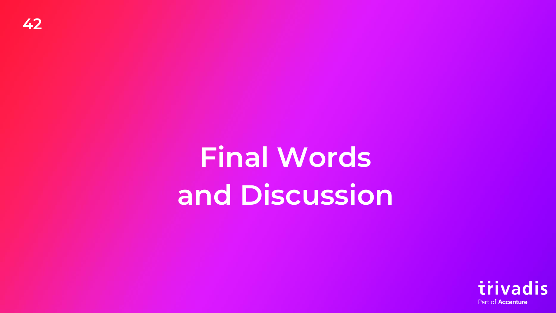**Final Words and Discussion**

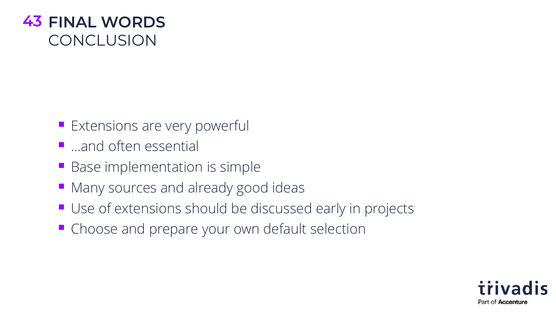

- **Extensions are very powerful**
- …and often essential
- Base implementation is simple
- Many sources and already good ideas
- Use of extensions should be discussed early in projects
- Choose and prepare your own default selection